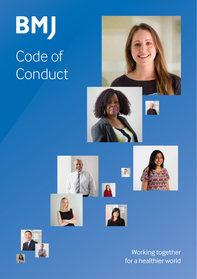# BMJ Code of **Conduct**













Working together for a healthier world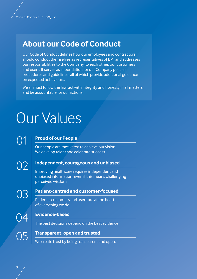# **About our Code of Conduct**

Our Code of Conduct defines how our employees and contractors should conduct themselves as representatives of BMJ and addresses our responsibilities to the Company, to each other, our customers and users. It serves as a foundation for our Company policies, procedures and guidelines, all of which provide additional guidance on expected behaviours. should conduct themselves as representatives of BMJ and addresses<br>our responsibilities to the Company, to each other, our customers<br>and users. It serves as a foundation for our Company policies,<br>procedures and guidelines,

We all must follow the law, act with integrity and honesty in all matters,<br>and be accountable for our actions. and be accountable for our actions.

# Our Values

### **Proud of our People**

Our people are motivated to achieve our vision. We develop talent and celebrate success.

02

 $\sum$ 

04

05

01

### **Independent, courageous and unbiased**

Improving healthcare requires independent and unbiased information, even if this means challenging perceived wisdom.

**Patient-centred and customer-focused**

Patients, customers and users are at the heart of everything we do.

**Evidence-based**

The best decisions depend on the best evidence.

**Transparent, open and trusted**

We create trust by being transparent and open.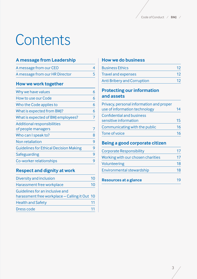# **Contents**

# **A message from Leadership**

| A message from our CEO                                   | 4 |
|----------------------------------------------------------|---|
| A message from our HR Director                           |   |
| How we work together                                     |   |
| Why we have values                                       | 6 |
| How to use our Code                                      | 6 |
| Who the Code applies to                                  | 6 |
| What is expected from BMJ?                               | 6 |
| What is expected of BMJ employees?                       | 7 |
| <b>Additional responsibilities</b><br>of people managers | 7 |
| Who can I speak to?                                      | 8 |
| Non retaliation                                          | 9 |
| <b>Guidelines for Ethical Decision Making</b>            | 9 |
| Safeguarding                                             | 9 |
| Co-worker relationships                                  | 9 |
|                                                          |   |

# **Respect and dignity at work**

| Diversity and inclusion                       |    |
|-----------------------------------------------|----|
| Harassment free workplace                     | 10 |
| Guidelines for an inclusive and               |    |
| harassment free workplace - Calling it Out 10 |    |
| <b>Health and Safety</b>                      |    |
| Dress code                                    |    |

# **How we do business**

| <b>Business Ethics</b>             | 12 |
|------------------------------------|----|
| Travel and expenses                | 12 |
| <b>Anti Bribery and Corruption</b> | 12 |

# **Protecting our information and assets**

| Privacy, personal information and proper<br>use of information technology | 14 |
|---------------------------------------------------------------------------|----|
| <b>Confidential and business</b><br>sensitive information                 | 15 |
| Communicating with the public                                             | 16 |
| Tone of voice                                                             | 16 |

# **Being a good corporate citizen**

| <b>Resources at a glance</b>      |    |  |
|-----------------------------------|----|--|
| Environmental stewardship         | 18 |  |
| Volunteering                      | 18 |  |
| Working with our chosen charities | 17 |  |
| <b>Corporate Responsibility</b>   | 17 |  |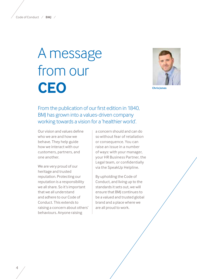# A message from our **CEO Chris Jones**



From the publication of our first edition in 1840, BMJ has grown into a values-driven company working towards a vision for a 'healthier world'.

Our vision and values define who we are and how we behave. They help guide how we interact with our customers, partners, and one another.

We are very proud of our heritage and trusted reputation. Protecting our reputation is a responsibility we all share. So it's important that we all understand and adhere to our Code of Conduct. This extends to raising a concern about others' behaviours. Anyone raising

a concern should and can do so without fear of retaliation or consequence. You can raise an issue in a number of ways: with your manager, your HR Business Partner, the Legal team, or confidentially via the SpeakUp Helpline.

By upholding the Code of Conduct, and living up to the standards it sets out, we will ensure that BMJ continues to be a valued and trusted global brand and a place where we are all proud to work.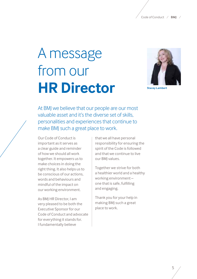# A message from our **HR Director**



**Stacey Lambert**

At BMJ we believe that our people are our most valuable asset and it's the diverse set of skills, personalities and experiences that continue to make BMJ such a great place to work.

Our Code of Conduct is important as it serves as a clear guide and reminder of how we should all work together. It empowers us to make choices in doing the right thing. It also helps us to be conscious of our actions, words and behaviours and mindful of the impact on our working environment.

As BMJ HR Director, I am very pleased to be both the Executive Sponsor for our Code of Conduct and advocate for everything it stands for. I fundamentally believe

that we all have personal responsibility for ensuring the spirit of the Code is followed and that we continue to live our BMJ values.

Together we strive for both a healthier world and a healthy working environment – one that is safe, fulfilling and engaging.

Thank you for your help in making BMJ such a great place to work.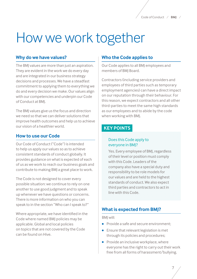# How we work together

# **Why do we have values?**

The BMJ values are more than just an aspiration. They are evident in the work we do every day and are integrated in our business strategy decisions and processes. We have a steadfast commitment to applying them to everything we do and every decision we make. Our values align with our competencies and underpin our Code of Conduct at BMJ.

The BMJ values give us the focus and direction we need so that we can deliver solutions that improve health outcomes and help us to achieve our vision of a healthier world.

### **How to use our Code**

Our Code of Conduct ("Code") is intended to help us apply our values so as to achieve consistent standards of conduct globally. It provides guidance on what is expected of each of us as we work to reach our business goals and contribute to making BMJ a great place to work.

The Code is not designed to cover every possible situation: we continue to rely on one another to use good judgment and to speak up whenever we have questions or concerns. There is more information on who you can speak to in the section "Who can I speak to?"

Where appropriate, we have identified in the Code where named BMJ policies may be applicable. Global and local policies on topics that are not covered by the Code can be found on Hive.

# **Who the Code applies to**

Our Code applies to all BMJ employees and members of BMJ Board.

Contractors (including service providers and employees of third parties such as temporary employment agencies) can have a direct impact on our reputation through their behaviour. For this reason, we expect contractors and all other third-parties to meet the same high standards as our employees and to abide by the code when working with BMJ.

# **KEY POINTS**

### Does this Code apply to everyone in BMJ?

Yes. Every employee of BMJ, regardless of their level or position must comply with this Code. Leaders of the company also have a special duty and responsibility to be role models for our values and are held to the highest standards of conduct. We also expect third parties and contractors to act in line with this Code.

# **What is expected from BMJ?**

#### BMJ will:

- Provide a safe and secure environment:
- Ensure that relevant legislation is met through its policies and procedures;
- Provide an inclusive workplace, where everyone has the right to carry out their work free from all forms of harassment/bullying.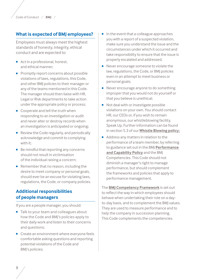### **What is expected of BMJ employees?**

Employees must always meet the highest standards of honesty, integrity, ethical conduct and are expected to:

- Act in a professional, honest, and ethical manner;
- Promptly report concerns about possible violations of laws, regulations, this Code, and other BMJ policies to their manager or any of the teams mentioned in this Code. The manager should then liaise with HR, Legal or Risk departments to take action under the appropriate policy or process;
- Cooperate and tell the truth when responding to an investigation or audit and never alter or destroy records when an investigation is anticipated or ongoing;
- Review the Code regularly, and periodically acknowledge and commit to complying with it:
- Be mindful that reporting any concerns should not result in victimisation of the individual raising a concern;
- Remember that no reason, including the desire to meet company or personal goals, should ever be an excuse for violating laws, regulations, the Code, or company policies.

# **Additional responsibilities of people managers**

If you are a people manager, you should:

- Talk to your team and colleagues about how the Code and BMJ's policies apply to their daily work and listen to their concerns and questions;
- Create an environment where everyone feels comfortable asking questions and reporting potential violations of the Code and BMI's policies:
- $\bullet$  In the event that a colleague approaches you with a report of a suspected violation, make sure you understand the issue and the circumstances under which it occurred and take responsibility to ensure that the issue is properly escalated and addressed;
- Never encourage someone to violate the law, regulations, the Code, or BMJ policies even in an attempt to meet business or personal goals;
- Never encourage anyone to do something improper that you would not do yourself or that you believe is unethical;
- Not deal with or investigate possible violations on your own. You should contact HR, our CEOs or, if you wish to remain anonymous, our whistleblowing facility, Speak Up. Further information can be found in section 5.3 of our **Whistle Blowing policy;**
- Address any matters in relation to the performance of a team member, by referring to guidance set out in the BMJ **Performance and Capability Policy** and the BMJ Competencies. This Code should not diminish a manager's right to manage performance, but should complement the frameworks and policies that apply to performance management.

The **BMJ Competency Framework** is set out to reflect the way in which employees should behave when undertaking their role on a dayto-day basis, and to complement the BMJ values. They are used to measure performance and to help the company in succession planning. This Code complements the competencies.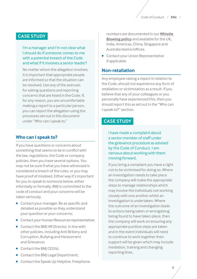# **CASE STUDY**

I'm a manager and I'm not clear what I should do if someone comes to me with a potential breach of the Code and what if it involves a senior leader?

No matter whom the allegation involves, it is important that appropriate people are informed so that the situation can be resolved. Use any of the avenues for asking questions and reporting concerns that are listed in the Code. If, for any reason, you are uncomfortable making a report to a particular person, you can report the allegation using the processes set out in this document under "Who can I speak to."

### **Who can I speak to?**

If you have questions or concerns about something that seems to be in conflict with the law, regulations, the Code or company policies, then you have several options. You may not be sure if what you have witnessed is considered a breach of the rules, or you may have proof of misdeed. Either way it's important for you to speak to someone below, either informally or formally. BMJ is committed to the code of conduct and your concerns will be taken seriously.

- Contact your manager. Be as specific and detailed as possible so they understand your question or your concerns;
- **Contact your Human Resources representative;**
- Contact the BMJ HR Director, in line with other policies, including Anti Bribery and Corruption, Bullying and Harassment and Grievance;
- Contact the BMI CEO(s).
- Contact the BMJ Legal Department;
- Contact the Speak Up Helpline. Freephone

numbers are documented in our **Whistle Blowing policy** and available for the UK, India, Americas, China, Singapore and Australia teams/offices.

 Contact your Union Representative if applicable.

### **Non-retaliation**

Any employee raising a report in relation to the Code, should not experience any form of retaliation or victimisation as a result. If you believe that any of your colleagues or you personally have experienced this, then you should report this as set out in the "Who can I speak to?" section.

### **CASE STUDY**

I have made a complaint about a senior member of staff under the grievance procedure as advised by the Code of Conduct. I am nervous about working with them moving forward.

If you bring a complaint you have a right not to be victimised for doing so. Where an investigation needs to take place the company will make the appropriate steps to manage relationships which may involve the individuals not working closely with one another whilst an investigation is undertaken. Where the outcome of an investigation leads to actions being taken or wrongdoing being found to have taken place, then the company will work on ensuring any appropriate punitive steps are taken and in the event individuals will need to continue to work together then support will be given which may include mediation, training and changing reporting lines.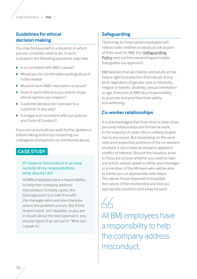# **Guidelines for ethical decision making**

You may find yourself in a situation in which you are uncertain what to do. In such a situation the following questions may help:

- $\bullet$  Is it consistent with BMI's values?
- Would you be comfortable reading about it in the media?
- Would it harm BMJ's reputation or yours?
- Does it seem ethical to you and to those whose opinion you respect?
- Could the decision be improper to a customer in any way?
- **Is it legal and consistent with our policies** and Code of Conduct?

If you are unsure please seek further guidance before taking action by contacting our colleagues and partners as mentioned above.

# **CASE STUDY**

#### If I observe misconduct in an area outside of my responsibilities, what should I do?

All BMJ employees have a responsibility to help the company address misconduct. In many cases, the best approach is to talk first with the manager who oversees the area where the problem occurs. But if this doesn't work, isn't feasible, or you are in doubt about the best approach, you should report it as set out in "Who can I speak to."

### **Safeguarding**

There may be times when employees will interact with children or adults at risk as part of their work for BMJ. Our **Safeguarding Policy** sets out the overarching principles that guides our approach.

BMJ believes that all children and adults at risk have a right to protection from abuse of any kind, regardless of gender, race or ethnicity, religion or beliefs, disability, sexual orientation or age. Everyone at BMJ has a responsibility to promote and prioritise their safety and wellbeing.

### **Co-worker relationships**

It is acknowledged that from time to time close personal relationships are formed at work. In the majority of cases, this is unlikely to give rise to any issues. But depending on the work roles and respective positions of the co-workers involved, it can create an actual or apparent conflict of interest. Should this situation arise, or if you are unsure whether you need to take any action, please speak to either your manager or a member of the HR team who will be able to advise you on appropriate next steps. This allows those impacted to establish the nature of the relationship and discuss appropriate solutions and a way forward.

All BMJ employees have a responsibility to help the company address misconduct.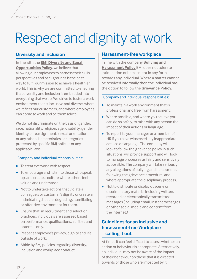# Respect and dignity at work

# **Diversity and inclusion**

In line with the **BMJ Diversity and Equal Opportunities Policy**, we believe that allowing our employees to harness their skills, perspectives and backgrounds is the best way to fulfil our mission to achieve a healthier world. This is why we are committed to ensuring that diversity and inclusion is embedded into everything that we do. We strive to foster a work environment that is inclusive and diverse, where we reflect our customers, and where employees can come to work and be themselves.

We do not discriminate on the basis of gender. race, nationality, religion, age, disability, gender identity or reassignment, sexual orientation or any other characteristics or categories protected by specific BMJ policies or any applicable laws.

### Company and individual responsibilities:

- To treat everyone with respect.
- To encourage and listen to those who speak up, and create a culture where others feel valued and understood.
- Not to undertake actions that violate a colleague's or customer's dignity or create an intimidating, hostile, degrading, humiliating or offensive environment for them.
- **•** Ensure that, in recruitment and selection practices, individuals are assessed based on performance, qualifications, abilities and potential only.
- Respect employee's privacy, dignity and life outside of work.
- Abide by BMJ policies regarding diversity, inclusion and workplace conduct.

### **Harassment-free workplace**

In line with the company **Bullying and Harassment Policy** BMJ does not tolerate intimidation or harassment in any form towards any individual. Where a matter cannot be resolved informally then the individual has the option to follow the **Grievance Policy**.

### Company and individual responsibilities:

- To maintain a work environment that is professional and free from harassment.
- Where possible, and where you believe you can do so safely, to raise with any person the impact of their actions or language.
- To report to your manager or a member of HR if you have witnessed any inappropriate actions or language. The company will look to follow the grievance policy in such situations, will provide support and will look to manage processes as fairly and sensitively as possible. The company will take seriously any allegations of bullying and harassment, following the grievance procedure, and where appropriate the disciplinary process.
- Not to distribute or display obscene or discriminatory material including written, recorded or electronically transmitted messages (including email, instant messages or other social media and content from the internet.)

# **Guidelines for an inclusive and harassment-free Workplace – calling it out**

At times it can feel difficult to assess whether an action or behaviour is appropriate. Alternatively, an individual may not be aware of the impact of their behaviour on those that it is directed towards or those who are impacted by it.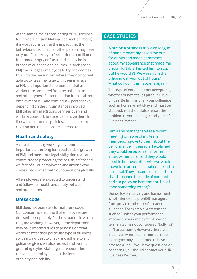At the same time as considering our Guidelines **CASE STUDIES** for Ethical Decision Making (see section above), it is worth considering the impact that the behaviour or action of another person may have on you. If it makes you feel anxious, humiliated, frightened, angry or frustrated, it may be in breach of our code and policies. In such cases BMJ encourages employees to try and address this with the person, but where they do not feel able to, to raise the issue with their manager or HR. It is important to remember that all workers are protected from sexual harassment and other types of discrimination from both an employment law and criminal law perspective, depending on the circumstances involved. BMJ takes any allegations very seriously and will take appropriate steps to manage them in line with our internal policies and ensure our rules on non retaliation are adhered to.

# **Health and safety**

A safe and healthy working environment is important to the long term sustainable growth of BMJ and meets our legal obligations. We are committed to protecting the health, safety and welfare of all our employees and anyone who comes into contact with our operations globally.

All employees are expected to understand and follow our health and safety policies and procedures.

### **Dress code**

BMJ does not operate a formal dress code. Our concern is ensuring that employees are dressed appropriately for the situation in which they are working. However, some departments may have informal rules depending on what works best for their particular type of business, so it's always best to check and adhere to any guidance given. We also respect and permit grooming styles, clothing and accessories that are dictated by religious beliefs, ethnicity or disability.

While on a business trip, a colleague of mine repeatedly asked me out for drinks and made comments about my appearance that made me uncomfortable. I asked him to stop, but he wouldn't. We weren't in the office and it was "out of hours." What do I do if this happens again?

This type of conduct is not acceptable, whether or not it takes place in BMJ's offices. Be firm, and tell your colleague such actions are not okay and must be stopped. You should also report the problem to your manager and your HR Business Partner.

I am a line manager and at a recent meeting with one of my team members, I spoke to them about their performance in their role. I explained they would be put on an informal improvement plan and they would need to improve, otherwise we would move to a formal plan that could end in dismissal. They became upset and said I had breached the code of conduct and our policy on harassment. Have I done something wrong?

Our policy on bullying and harassment is not intended to prohibit managers from providing clear performance guidance. For example, a statement such as "unless your performance improves, your employment may be terminated" is not considered "bullying" or "harassment". However, there are instances where team members feel managers may be deemed to have crossed a line. If you have questions or concerns, you should contact your HR Business Partner.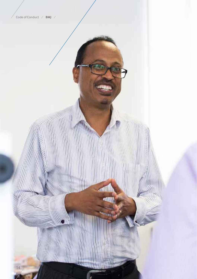and

**ALLE** 

W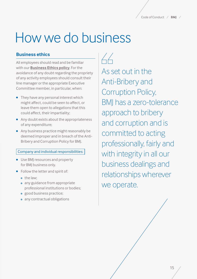# How we do business

# **Business ethics**

All employees should read and be familiar with our **Business Ethics policy**. For the avoidance of any doubt regarding the propriety of any activity employees should consult their line manager or the appropriate Executive Committee member, in particular, when:

- They have any personal interest which might affect, could be seen to affect, or leave them open to allegations that this could affect, their impartiality;
- Any doubt exists about the appropriateness of any expenditure;
- Any business practice might reasonably be deemed improper and in breach of the Anti-Bribery and Corruption Policy for BMJ.

### Company and individual responsibilities:

- Use BMJ resources and property for BMJ business only.
- Follow the letter and spirit of:
	- o the law:
	- any guidance from appropriate professional institutions or bodies;
	- good business practice;
	- any contractual obligations

# $\overline{\bigwedge}$

As set out in the Anti-Bribery and Corruption Policy, BMJ has a zero-tolerance approach to bribery and corruption and is committed to acting professionally, fairly and with integrity in all our business dealings and relationships wherever we operate.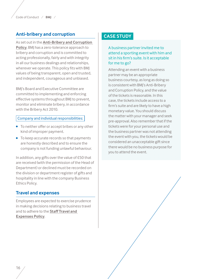### **Anti-bribery and corruption**

As set out in the **Anti-Bribery and Corruption Policy**, BMJ has a zero-tolerance approach to bribery and corruption and is committed to acting professionally, fairly and with integrity in all our business dealings and relationships, wherever we operate. This policy fits with BMJ values of being transparent, open and trusted, and independent, courageous and unbiased.

BMJ's Board and Executive Committee are committed to implementing and enforcing effective systems throughout BMJ to prevent, monitor and eliminate bribery, in accordance with the Bribery Act 2010.

#### Company and individual responsibilities:

- To neither offer or accept bribes or any other kind of improper payment.
- To keep accurate records so that payments are honestly described and to ensure the company is not funding unlawful behaviour.

In addition, any gifts over the value of £50 that are received (with the permission of the Head of Department) or declined must be recorded on the division or department register of gifts and hospitality in line with the company Business Ethics Policy.

### **Travel and expenses**

Employees are expected to exercise prudence in making decisions relating to business travel and to adhere to the **Staff Travel and Expenses Policy**.

# **CASE STUDY**

A business partner invited me to attend a sporting event with him and sit in his firm's suite. Is it acceptable for me to go?

Attending an event with a business partner may be an appropriate business courtesy, as long as doing so is consistent with BMJ's Anti-Bribery and Corruption Policy, and the value of the tickets is reasonable. In this case, the tickets include access to a firm's suite and are likely to have a high monetary value. You should discuss the matter with your manager and seek pre-approval. Also remember that if the tickets were for your personal use and the business partner was not attending the event with you, the tickets would be considered an unacceptable gift since there would be no business purpose for you to attend the event.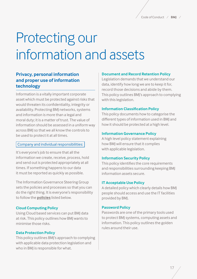# Protecting our information and assets

# **Privacy, personal information and proper use of information technology**

Information is a vitally important corporate asset which must be protected against risks that would threaten its confidentiality, integrity or availability. Protecting BMJ networks, systems and information is more than a legal and moral duty; it is a matter of trust. The value of information should be assessed in a uniform way across BMJ so that we all know the controls to be used to protect it at all times.

### Company and individual responsibilities:

It's everyone's job to ensure that all the information we create, receive, process, hold and send out is protected appropriately at all times. If something happens to our data it must be reported as quickly as possible.

The Information Governance Steering Group sets the policies and processes so that you can do the right thing. It is everyone's responsibility to follow the **policies** listed below.

### **Cloud Computing Policy**

Using Cloud based services can put BMJ data at risk. This policy outlines how BMJ wants to minimise those risks.

### **Data Protection Policy**

This policy outlines BMJ's approach to complying with applicable data protection legislation and who in BMJ is responsible for what.

### **Document and Record Retention Policy**

Legislation demands that we understand our data, identify how long we are to keep it for, record those decisions and abide by them. This policy outlines BMJ's approach to complying with this legislation.

#### **Information Classification Policy**

This policy documents how to categorise the different types of information used in BMJ and how it should be protected at a high level.

### **Information Governance Policy**

A high level policy statement explaining how BMJ will ensure that it complies with applicable legislation.

### **Information Security Policy**

This policy identifies the core requirements and responsibilities surrounding keeping BMJ information assets secure.

### **IT Acceptable Use Policy**

A detailed policy which clearly details how BMJ people should access and use the IT facilities provided by BMJ.

### **Password Policy**

Passwords are one of the primary tools used to protect BMJ systems, computing assets and information. This policy outlines the golden rules around their use.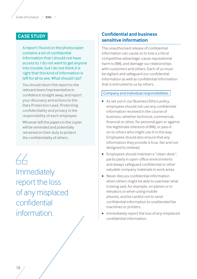# **CASE STUDY**

A report I found on the photocopier contains a lot of confidential information that I should not have access to. I do not want to get anyone into trouble, but I do not think it is right that this kind of information is left for all to see. What should I do?

You should return the report to the relevant team/representative in confidence straight away, and report your discovery and actions to the Data Protection Lead. Protecting confidentiality and privacy is the responsibility of each employee.

Whoever left the papers in the copier will be reminded and potentially retrained on their duty to protect the confidentiality of others.

 $\overline{\bigwedge}$ 

Immediately report the loss of any misplaced confidential information.

# **Confidential and business sensitive information**

The unauthorised release of confidential information can cause us to lose a critical competitive advantage, cause reputational harm to BMJ, and damage our relationships with customers and others. Each of us must be vigilant and safeguard our confidential information as well as confidential information that is entrusted to us by others.

### Company and individual responsibilities:

- As set out in our Business Ethics policy, employees should not use any confidential information received in the course of business, whether technical, commercial, financial or other, for personal gain or against the legitimate interests of BMJ, or pass it on to others who might use it in this way. Employees should also ensure that any information they provide is true, fair and not designed to mislead.
- **•** Employees should maintain a "clean-desk". particularly in open-office environments and always safeguard confidential or other valuable company materials in work areas.
- Never discuss confidential information when others might be able to overhear what is being said, for example, on planes or in elevators or when using mobile phones, and be careful not to send confidential information to unattended fax machines or printers.
- **Immediately report the loss of any misplaced** confidential information.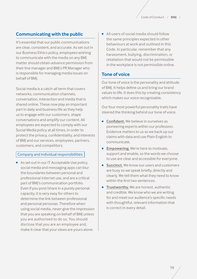### **Communicating with the public**

It's essential that our public communications are clear, consistent, and accurate. As set out in our Business Ethics policy, employees wishing to communicate with the media on any BMJ matter should obtain advance permission from their line manager and BMJ's PR Manager who is responsible for managing media issues on behalf of BMJ.

Social media is a catch-all term that covers networks, communication channels, conversation, interaction and media that is shared online. These now play an important part in daily and business life as they help us to engage with our customers, shape conversations and amplify our content. All employees are expected to comply with our Social Media policy at all times, in order to protect the privacy, confidentiality, and interests of BMJ and our services, employees, partners, customers, and competitors.

### Company and individual responsibilities:

● As set out in our IT Acceptable Use policy. social media and messaging apps can blur the boundaries between personal and professional internet use, and are a critical part of BMJ's communication portfolio. Even if you post/share in a purely personal capacity, it is very easy for others to determine the link between professional and personal personas. Therefore when using social media, never give the impression that you are speaking on behalf of BMJ unless you are authorised to do so. You should disclose that you are an employee and, make it clear that your views are yours alone.

 All users of social media should follow the same principles expected in other behaviours at work and outlined in this Code. In particular, remember that any harassment, bullying, discrimination, or retaliation that would not be permissible in the workplace is not permissible online.

### **Tone of voice**

Our tone of voice is the personality and attitude of BMJ. It helps define us and bring our brand values to life. It does this by creating consistency which makes our voice recognisable.

Our four most powerful personality traits have steered the thinking behind our tone of voice.

- **Confident.** We believe in ourselves as pioneering experts within our profession. Evidence matters to us so we back up our claims with data and use Plain English to communicate.
- **Empowering.** We're here to motivate, support and enable, so the words we choose to use are clear and accessible for everyone.
- **Succinct.** We know our users and customers are busy so we speak briefly, directly and clearly. We tell them what they need to know within the first two sentences.
- **Trustworthy.** We are honest, authentic and credible. We know who we are writing for and meet our audience's specific needs with thoughtful, relevant information that is correct in every detail.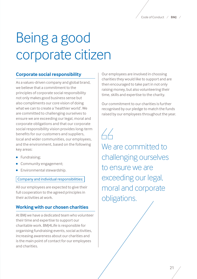# Being a good corporate citizen

# **Corporate social responsibility**

As a values-driven company and global brand, we believe that a commitment to the principles of corporate social responsibility not only makes good business sense but also compliments our core vision of doing what we can to create a 'healthier world'. We are committed to challenging ourselves to ensure we are exceeding our legal, moral and corporate obligations and that our corporate social responsibility vision provides long-term benefits for our customers and suppliers, local and wider communities, our employees, and the environment, based on the following key areas:

- **•** Fundraising:
- Community engagement;
- **•** Environmental stewardship.

### Company and individual responsibilities:

All our employees are expected to give their full cooperation to the agreed principles in their activities at work.

# **Working with our chosen charities**

At BMJ we have a dedicated team who volunteer their time and expertise to support our charitable work. BMJ4Life is responsible for organising fundraising events, social activities, increasing awareness about our charities and is the main point of contact for our employees and charities.

Our employees are involved in choosing charities they would like to support and are then encouraged to take part in not only raising money, but also volunteering their time, skills and expertise to the charity.

Our commitment to our charities is further recognised by our pledge to match the funds raised by our employees throughout the year.

КK

We are committed to challenging ourselves to ensure we are exceeding our legal, moral and corporate obligations.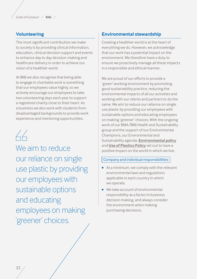# **Volunteering**

The most significant contribution we make to society is by providing clinical information, education, clinical decision support and events to enhance day to day decision-making and healthcare delivery in order to achieve our vision of a healthier world.

At BMJ we also recognise that being able to engage in charitable work is something that our employees value highly, so we actively encourage our employees to take two volunteering days each year to support a registered charity close to their heart. As a business we also work with students from disadvantaged backgrounds to provide work experience and mentoring opportunities.

# $\angle\angle$

We aim to reduce our reliance on single use plastic by providing our employees with sustainable options and educating employees on making 'greener' choices.

# **Environmental stewardship**

Creating a healthier world is at the heart of everything we do. However, we acknowledge that our work has a potential impact on the environment. We therefore have a duty to ensure we proactively manage all these impacts in a responsible and ethical manner.

We are proud of our efforts to provide a 'green' working environment by promoting good sustainability practice, reducing the environmental impacts of all our activities and working with our clients and partners to do the same. We aim to reduce our reliance on single use plastic by providing our employees with sustainable options and educating employees on making 'greener' choices. With the ongoing work of our BMA/BMJ Health and Sustainability group and the support of our Environmental Champions, our Environmental and Sustainability agenda, **Environmental policy** and **Use of Plastics Policy** set out to have a positive impact on the world in which we live.

### Company and individual responsibilities:

- At a minimum, we comply with the relevant environmental laws and regulations applicable in each country in which we operate.
- We take account of environmental responsibility as a factor in business decision making, and always consider the environment when making purchasing decisions.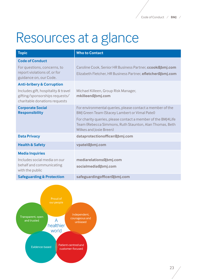# Resources at a glance

| <b>Topic</b>                                                                                           | <b>Who to Contact</b>                                                                                                                              |
|--------------------------------------------------------------------------------------------------------|----------------------------------------------------------------------------------------------------------------------------------------------------|
| <b>Code of Conduct</b>                                                                                 |                                                                                                                                                    |
| For questions, concerns, to<br>report violations of, or for<br>guidance on, our Code.                  | Caroline Cook, Senior HR Business Partner, ccook@bmj.com<br>Elizabeth Fletcher, HR Business Partner, efletcher@bmj.com                             |
| <b>Anti-bribery &amp; Corruption</b>                                                                   |                                                                                                                                                    |
| Includes gift, hospitality & travel<br>gifting/sponsorships requests/<br>charitable donations requests | Michael Killeen, Group Risk Manager,<br>mkilleen@bmj.com                                                                                           |
| <b>Corporate Social</b><br><b>Responsibility</b>                                                       | For environmental queries, please contact a member of the<br><b>BMJ Green Team (Stacey Lambert or Vimal Patel)</b>                                 |
|                                                                                                        | For charity queries, please contact a member of the BMJ4Life<br>Team (Rebecca Simmons, Ruth Staunton, Alan Thomas, Beth<br>Wilkes and losie Breen) |
| <b>Data Privacy</b>                                                                                    | dataprotectionofficer@bmj.com                                                                                                                      |
| <b>Health &amp; Safety</b>                                                                             | vpatel@bmj.com                                                                                                                                     |
| <b>Media Inquiries</b>                                                                                 |                                                                                                                                                    |
| Includes social media on our<br>behalf and communicating<br>with the public                            | mediarelations@bmj.com<br>socialmedia@bmj.com                                                                                                      |
| <b>Safeguarding &amp; Protection</b>                                                                   | safeguardingofficer@bmj.com                                                                                                                        |